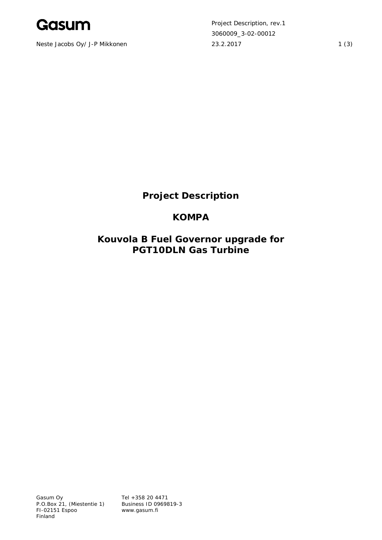

Neste Jacobs Oy/ J-P Mikkonen 23.2.2017 23.2.2017

Project Description, rev.1 3060009\_3-02-00012

# **Project Description**

## **KOMPA**

**Kouvola B Fuel Governor upgrade for PGT10DLN Gas Turbine**

Gasum Oy P.O.Box 21, (Miestentie 1) FI-02151 Espoo Finland

Tel +358 20 4471 Business ID 0969819-3 www.gasum.fi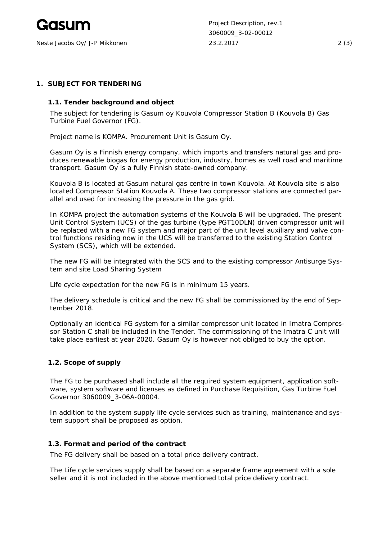

Neste Jacobs Oy/ J-P Mikkonen 23.2.2017 2 (3)

Project Description, rev.1 3060009\_3-02-00012

#### **1. SUBJECT FOR TENDERING**

**1.1. Tender background and object**

The subject for tendering is Gasum oy Kouvola Compressor Station B (Kouvola B) Gas Turbine Fuel Governor (FG).

Project name is KOMPA. Procurement Unit is Gasum Oy.

Gasum Oy is a Finnish energy company, which imports and transfers natural gas and produces renewable biogas for energy production, industry, homes as well road and maritime transport. Gasum Oy is a fully Finnish state-owned company.

Kouvola B is located at Gasum natural gas centre in town Kouvola. At Kouvola site is also located Compressor Station Kouvola A. These two compressor stations are connected parallel and used for increasing the pressure in the gas grid.

In KOMPA project the automation systems of the Kouvola B will be upgraded. The present Unit Control System (UCS) of the gas turbine (type PGT10DLN) driven compressor unit will be replaced with a new FG system and major part of the unit level auxiliary and valve control functions residing now in the UCS will be transferred to the existing Station Control System (SCS), which will be extended.

The new FG will be integrated with the SCS and to the existing compressor Antisurge System and site Load Sharing System

Life cycle expectation for the new FG is in minimum 15 years.

The delivery schedule is critical and the new FG shall be commissioned by the end of September 2018.

Optionally an identical FG system for a similar compressor unit located in Imatra Compressor Station C shall be included in the Tender. The commissioning of the Imatra C unit will take place earliest at year 2020. Gasum Oy is however not obliged to buy the option.

#### **1.2. Scope of supply**

The FG to be purchased shall include all the required system equipment, application software, system software and licenses as defined in Purchase Requisition, Gas Turbine Fuel Governor 3060009\_3-06A-00004.

In addition to the system supply life cycle services such as training, maintenance and system support shall be proposed as option.

#### **1.3. Format and period of the contract**

The FG delivery shall be based on a total price delivery contract.

The Life cycle services supply shall be based on a separate frame agreement with a sole seller and it is not included in the above mentioned total price delivery contract.